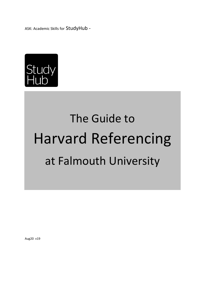ASK: Academic Skills for StudyHub -



# The Guide to Harvard Referencing at Falmouth University

Aug20 v19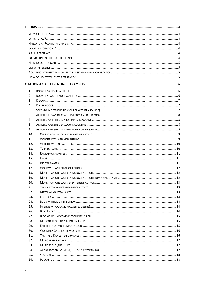| 1.         |  |  |  |  |  |  |
|------------|--|--|--|--|--|--|
| 2.         |  |  |  |  |  |  |
| 3.         |  |  |  |  |  |  |
| 4.         |  |  |  |  |  |  |
| 5.         |  |  |  |  |  |  |
| 6.         |  |  |  |  |  |  |
|            |  |  |  |  |  |  |
| 7.<br>8.   |  |  |  |  |  |  |
| 9.         |  |  |  |  |  |  |
| 10.        |  |  |  |  |  |  |
| 11.        |  |  |  |  |  |  |
| 12.        |  |  |  |  |  |  |
|            |  |  |  |  |  |  |
| 13.<br>14. |  |  |  |  |  |  |
| 15.        |  |  |  |  |  |  |
| 16.        |  |  |  |  |  |  |
| 17.        |  |  |  |  |  |  |
| 18.        |  |  |  |  |  |  |
|            |  |  |  |  |  |  |
| 19.<br>20. |  |  |  |  |  |  |
| 21.        |  |  |  |  |  |  |
| 22.        |  |  |  |  |  |  |
| 23.        |  |  |  |  |  |  |
| 24.        |  |  |  |  |  |  |
| 25.        |  |  |  |  |  |  |
| 26.        |  |  |  |  |  |  |
| 27.        |  |  |  |  |  |  |
| 28.        |  |  |  |  |  |  |
| 29.        |  |  |  |  |  |  |
| 30.        |  |  |  |  |  |  |
| 31.        |  |  |  |  |  |  |
| 32.        |  |  |  |  |  |  |
| 33.        |  |  |  |  |  |  |
| 34.        |  |  |  |  |  |  |
| 35.        |  |  |  |  |  |  |
| 36.        |  |  |  |  |  |  |
|            |  |  |  |  |  |  |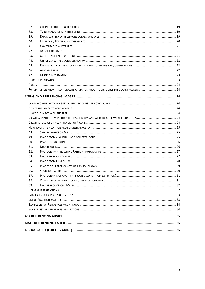| 37. |  |  |
|-----|--|--|
| 38. |  |  |
| 39. |  |  |
| 40. |  |  |
| 41. |  |  |
| 42. |  |  |
| 43. |  |  |
| 44. |  |  |
| 45. |  |  |
| 46. |  |  |
| 47. |  |  |
|     |  |  |
|     |  |  |
|     |  |  |
|     |  |  |
|     |  |  |
|     |  |  |
|     |  |  |
|     |  |  |
|     |  |  |
|     |  |  |
|     |  |  |
| 48. |  |  |
| 49. |  |  |
| 50. |  |  |
| 51. |  |  |
| 52. |  |  |
| 53. |  |  |
| 54. |  |  |
| 55. |  |  |
| 56. |  |  |
| 57. |  |  |
| 58. |  |  |
| 59. |  |  |
|     |  |  |
|     |  |  |
|     |  |  |
|     |  |  |
|     |  |  |
|     |  |  |
|     |  |  |
|     |  |  |
|     |  |  |
|     |  |  |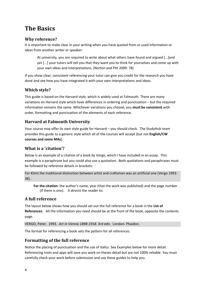# <span id="page-3-0"></span>**The Basics**

## <span id="page-3-1"></span>**Why reference?**

It is important to make clear in your writing when you have quoted from or used information or ideas from another writer or speaker:

At university, you are required to write about what others have found and argued [...]and yet [...] your tutors will tell you that they want you to think for yourselves and come up with your own ideas and interpretations. (Norton and Pitt 2009: 78)

If you show clear, consistent referencing your tutor can give you credit for the research you have done and see how you have integrated it with your own interpretations and ideas.

## <span id="page-3-2"></span>**Which style?**

This guide is based on the Harvard style, which is widely used at Falmouth. There are many variations on Harvard style which have differences in ordering and punctuation – but the required information remains the same. Whichever variations you choose, you **must be consistent** with order, formatting and punctuation of the elements of each reference.

## <span id="page-3-3"></span>**Harvard at Falmouth University**

Your course may offer its own style guide for Harvard – you should check. The StudyHub team provides this guide to a generic style which all of the courses will accept (but not **English/CW courses and some MAs**).

## <span id="page-3-4"></span>**What is a 'citation'?**

Below is an example of a citation of a book by Vergo, which I have included in an essay. This example is a paraphrase but you could also use a quotation. Both quotations and paraphrases must be followed by reference details in brackets:

For Klimt the traditional distinction between artist and craftsman was an artificial one (Vergo 1993: 38)..

**For the citation**: the author's name, year (that the work was published) and the page number (if there is one). It directs the reader to:

## <span id="page-3-5"></span>**A full reference**

The layout below shows how you should set out the full reference for a book in the **List of References**. All the information you need should be at the front of the book, opposite the contents page.

VERGO, Peter. 1993. *Art in Vienna 1898-1918*. 3rd edn. London: Phaidon.

The format for referencing a book sets the pattern for all references.

## <span id="page-3-6"></span>**Formatting of the full reference**

Notice the placing of punctuation and the use of italics. See Examples below for more detail. Referencing tools and apps will save you work on theses detail but are not 100% reliable. You must carefully check your work before submission and use these guides to help you.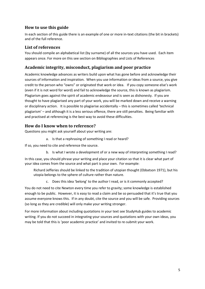## <span id="page-4-0"></span>**How to use this guide**

In each section of this guide there is an example of one or more in-text citations (the bit in brackets) and of the full reference.

## <span id="page-4-1"></span>**List of references**

You should compile an alphabetical list (by surname) of all the sources you have used. Each item appears once. For more on this see section on Bibliographies and Lists of References

## <span id="page-4-2"></span>**Academic integrity, misconduct, plagiarism and poor practice**

Academic knowledge advances as writers build upon what has gone before and acknowledge their sources of information and inspiration. When you use information or ideas from a source, you give credit to the person who "owns" or originated that work or idea. If you copy someone else's work (even if it is not word for word) and fail to acknowledge the source, this is known as plagiarism. Plagiarism goes against the spirit of academic endeavour and is seen as dishonesty. If you are thought to have plagiarised any part of your work, you will be marked down and receive a warning or disciplinary action. It is possible to plagiarise accidentally – this is sometimes called 'technical plagiarism' – and although it is a less serious offence, there are still penalties. Being familiar with and practised at referencing is the best way to avoid these difficulties.

## <span id="page-4-3"></span>**How do I know when to reference?**

Questions you might ask yourself about your writing are:

a. Is that a rephrasing of something I read or heard?

If so, you need to cite and reference the source.

b. Is what I wrote a development of or a new way of interpreting something I read?

In this case, you should phrase your writing and place your citation so that it is clear what part of your idea comes from the source and what part is your own. For example:

Richard Jefferies should be linked to the tradition of utopian thought (Ebbatson 1971), but his utopia belongs to the sphere of culture rather than nature.

c. Does this idea 'belong' to the author I read, or is it commonly accepted?

You do not need to cite Newton every time you refer to gravity; some knowledge is established enough to be public. However, it is easy to read a claim and be so persuaded that it's true that you assume everyone knows this. If in any doubt, cite the source and you will be safe. Providing sources (so long as they are credible) will only make your writing stronger.

For more information about including quotations in your text see StudyHub guides to academic writing. If you do not succeed in integrating your sources and quotations with your own ideas, you may be told that this is 'poor academic practice' and invited to re-submit your work.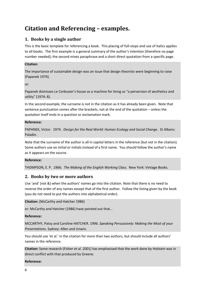# <span id="page-5-0"></span>**Citation and Referencing – examples.**

## <span id="page-5-1"></span>**1. Books by a single author**

This is the basic template for referencing a book. This placing of full-stops and use of italics applies to all books. The first example is a general summary of the author's intention (therefore no page number needed); the second mixes paraphrase and a short direct quotation from a specific page.

#### **Citation**:

The importance of sustainable design was an issue that design theorists were beginning to raise (Papanek 1974).

or:

Papanek dismisses Le Corbusier's house as a machine for living as "a perversion of aesthetics and utility" (1974: 8).

In the second example, the surname is not in the citation as it has already been given. Note that sentence punctuation comes after the brackets, not at the end of the quotation – unless the quotation itself ends in a question or exclamation mark.

#### **Reference:**

PAPANEK, Victor. 1974. *Design for the Real World: Human Ecology and Social Change*. St Albans: Paladin.

Note that the surname of the author is all in capital letters in the reference (but not in the citation). Some authors use an initial or initials instead of a first name. You should follow the author's name as it appears on the source.

#### **Reference:**

THOMPSON, E. P. 1966. *The Making of the English Working Class*. New York: Vintage Books.

## <span id="page-5-2"></span>**2. Books by two or more authors**

Use 'and' (not &) when the authors' names go into the citation. Note that there is no need to reverse the order of any names except that of the first author. Follow the listing given by the book (you do not need to put the authors into alphabetical order).

**Citation:** (McCarthy and Hatcher 1986)

or: McCarthy and Hatcher (1986) have pointed out that…

#### **Reference:**

MCCARTHY, Patsy and Caroline HATCHER. 1996. *Speaking Persuasively: Making the Most of your Presentations*. Sydney: Allen and Unwin.

You should use 'et al.' in the citation for more than two authors, but should include all authors' names in the reference.

**Citation:** Some research (Fisher et al. 2001) has emphasised that the work done by Holstein was in direct conflict with that produced by Greene.

#### **Reference:**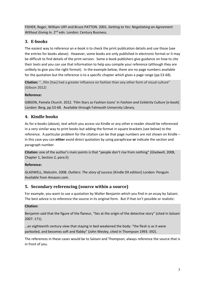FISHER, Roger, William URY and Bruce PATTON. 2001. *Getting to Yes: Negotiating an Agreement*  Without Giving In. 2<sup>nd</sup> edn. London: Century Business.

## <span id="page-6-0"></span>**3. E-books**

The easiest way to reference an e-book is to check the print publication details and use those (see the entries for books above). However, some books are only published in electronic format or it may be difficult to find details of the print version. Some e-book publishers give guidance on how to cite their texts and you can use that information to help you compile your reference (although they are unlikely to give you the right format). In the example below, there are no page numbers available for the quotation but the reference is to a specific chapter which gives a page range (pp.53-68).

**Citation:** "…film [has] had a greater influence on fashion than any other form of visual culture" (Gibson 2012)

## **Reference:**

GIBSON, Pamela Church. 2012. 'Film Stars as Fashion Icons' in *Fashion and Celebrity Culture* [e-book] London: Berg, pp.53-68. Available through Falmouth University Library.

## <span id="page-6-1"></span>**4. Kindle books**

As for e-books (above), text which you access via Kindle or any other e-reader should be referenced in a very similar way to print books but adding the format in square brackets (see below) to the reference. A particular problem for the citation can be that page numbers are not shown on Kindle – in this case you can **either** avoid direct quotation by using paraphrase **or** indicate the section and paragraph number.

**Citation:** one of the author's main points is that "people don't rise from nothing" (Gladwell, 2008, Chapter 1, Section 2, para.5)

## **Reference:**

GLADWELL, Malcolm. 2008. *Outliers: The story of success* [Kindle DX edition] London: Penguin Available from Amazon.com.

## <span id="page-6-2"></span>**5. Secondary referencing (source within a source)**

For example, you want to use a quotation by Walter Benjamin which you find in an essay by Salzani. The best advice is to reference the source in its original form. But if that isn't possible or realistic:

## **Citation:**

Benjamin said that the figure of the flaneur, "lies at the origin of the detective story" (cited in Salzani 2007: 171).

…an eighteenth century view that staying in bed weakened the body: "the flesh is as it were parboiled, and becomes soft and flabby" (John Wesley, cited in Thompson 1993: 392).

The references in these cases would be to Salzani and Thompson; always reference the source that is in front of you.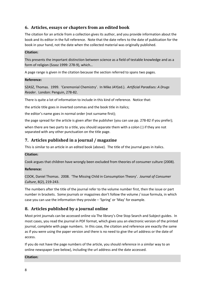## <span id="page-7-0"></span>**6. Articles, essays or chapters from an edited book**

The citation for an article from a collection gives its author, and you provide information about the book and its editor in the full reference. Note that the date refers to the date of publication for the book in your hand, not the date when the collected material was originally published.

#### **Citation:**

This presents the important distinction between science as a field of testable knowledge and as a form of religion (Szasz 1999: 278-9), which…

A page range is given in the citation because the section referred to spans two pages.

#### **Reference:**

SZASZ, Thomas. 1999. 'Ceremonial Chemistry'. In Mike JAY(ed.). *Artificial Paradises: A Drugs Reader*. London: Penguin, 278-82.

There is quite a lot of information to include in this kind of reference. Notice that:

the article title goes in inverted commas and the book title in italics;

the editor's name goes in normal order (not surname first);

the page spread for the article is given after the publisher (you can use pp. 278-82 if you prefer);

when there are two parts to a title, you should separate them with a colon (:) if they are not separated with any other punctuation on the title page.

## <span id="page-7-1"></span>**7. Articles published in a journal / magazine**

This is similar to an article in an edited book (above). The title of the journal goes in italics.

#### **Citation:**

Cook argues that children have wrongly been excluded from theories of consumer culture (2008).

#### **Reference:**

COOK, Daniel Thomas. 2008. 'The Missing Child in Consumption Theory'. *Journal of Consumer Culture*, 8(2), 219-243.

The numbers after the title of the journal refer to the volume number first, then the issue or part number in brackets. Some journals or magazines don't follow the volume / issue formula, in which case you can use the information they provide – 'Spring' or 'May' for example.

## <span id="page-7-2"></span>**8. Articles published by a journal online**

Most print journals can be accessed online via The library's One Stop Search and Subject guides. In most cases, you read the journal in PDF format, which gives you an electronic version of the printed journal, complete with page numbers. In this case, the citation and reference are exactly the same as if you were using the paper version and there is no need to give the url address or the date of access.

If you do not have the page numbers of the article, you should reference in a similar way to an online newspaper (see below), including the url address and the date accessed.

#### **Citation:**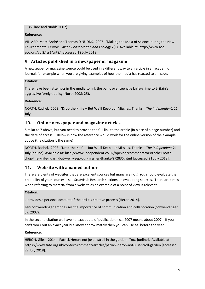… (Villard and Nudds 2007).

## **Reference:**

VILLARD, Marc-André and Thomas D NUDDS. 2007. 'Making the Most of Science during the New Environmental Fervor'. *Avian Conservation and Ecology* 2(1). Available at: [http://www.ace](http://www.ace-eco.org/vol2/iss1/art8/)[eco.org/vol2/iss1/art8/](http://www.ace-eco.org/vol2/iss1/art8/) [accessed 18 July 2018].

## <span id="page-8-0"></span>**9. Articles published in a newspaper or magazine**

A newspaper or magazine source could be used in a different way to an article in an academic journal, for example when you are giving examples of how the media has reacted to an issue.

#### **Citation:**

There have been attempts in the media to link the panic over teenage knife-crime to Britain's aggressive foreign policy (North 2008: 25).

## **Reference:**

NORTH, Rachel. 2008. 'Drop the Knife – But We'll Keep our Missiles, Thanks'. *The Independent*, 21 July.

## <span id="page-8-1"></span>**10. Online newspaper and magazine articles**

Similar to 7 above, but you need to provide the full link to the article (in place of a page number) and the date of access. Below is how the reference would work for the online version of the example above (the citation is the same).

NORTH, Rachel. 2008. 'Drop the Knife – But We'll Keep our Missiles, Thanks'. *The Independent* 21 July [online]. Available at: http://www.independent.co.uk/opinion/commentators/rachel-northdrop-the-knife-ndash-but-well-keep-our-missiles-thanks-872835.html [accessed 21 July 2018].

## <span id="page-8-2"></span>**11. Website with a named author**

There are plenty of websites that are excellent sources but many are not! You should evaluate the credibility of your sources – see StudyHub Research sections on evaluating sources. There are times when referring to material from a website as an example of a point of view is relevant.

#### **Citation:**

…provides a personal account of the artist's creative process (Heron 2014).

Leni Schwendinger emphasises the importance of communication and collaboration (Schwendinger ca. 2007).

In the second citation we have no exact date of publication – ca. 2007 means about 2007. If you can't work out an exact year but know approximately then you can use **ca.** before the year.

#### **Reference:**

HERON, Giles. 2014. 'Patrick Heron: not just a stroll in the garden. *Tate* [online]. Available at: https://www.tate.org.uk/context-comment/articles/patrick-heron-not-just-stroll-garden [accessed 22 July 2018].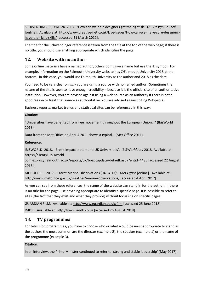SCHWENDINGER, Leni. ca. 2007. 'How can we help designers get the right skills?'. *Design Council* [online]. Available at: [http://www.creative-net.co.uk/Live-Issues/How-can-we-make-sure-designers](http://www.creative-net.co.uk/Live-Issues/How-can-we-make-sure-designers-have-the-right-skills/)[have-the-right-skills/](http://www.creative-net.co.uk/Live-Issues/How-can-we-make-sure-designers-have-the-right-skills/) [accessed 31 March 2011].

The title for the Schwendinger reference is taken from the title at the top of the web page; if there is no title, you should use anything appropriate which identifies the page.

## <span id="page-9-0"></span>**12. Website with no author**

Some online materials have a named author; others don't give a name but use the © symbol. For example, information on the Falmouth University website has ©Falmouth University 2018 at the bottom. In this case, you would use Falmouth University as the author and 2018 as the date.

You need to be very clear on *why* you are using a source with no named author. Sometimes the nature of the site is seen to have enough credibility – because it is the official site of an authoritative institution. However, you are advised against using a web source as an authority if there is not a good reason to treat that source as authoritative. You are advised against citing Wikipedia.

Business reports, market trends and statistical sites can be referenced in this way:

#### **Citation:**

"Universities have benefited from free movement throughout the European Union…" (IbisWorld 2018).

Data from the Met Office on April 4 2011 shows a typical… (Met Office 2011).

#### **Reference:**

IBISWORLD. 2018. 'Brexit impact statement: UK Universities'. *IBISWorld* July 2018. Available at: https://clients1-ibisworld-

com.ezproxy.falmouth.ac.uk/reports/uk/brexitupdate/default.aspx?entid=4485 [accessed 22 August 2018].

MET OFFICE. 2017. 'Latest Marine Observations (04.04.17)'. *Met Office* [online]. Available at: <http://www.metoffice.gov.uk/weather/marine/observations/> [accessed 4 April 2017].

As you can see from these references, the name of the website can stand in for the author. If there is no title for the page, use anything appropriate to identify a specific page. It is possible to refer to sites (the fact that they exist and what they provide) without focussing on specific pages:

GUARDIAN FILM. Available at:<http://www.guardian.co.uk/film> [accessed 25 June 2018]. IMDB. Available at[: http://www.imdb.com/](http://www.imdb.com/) [accessed 26 August 2018].

## <span id="page-9-1"></span>**13. TV programmes**

For television programmes, you have to choose who or what would be most appropriate to stand as the author; the most common are the director (example 2), the speaker (example 1) or the name of the programme (example 3).

#### **Citation**:

In an interview, the Prime Minister continued to refer to 'strong and stable leadership' (May 2017).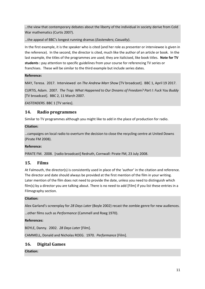…the view that contemporary debates about the liberty of the individual in society derive from Cold War mathematics (Curtis 2007).

…the appeal of BBC's longest running dramas (*Eastenders*; *Casualty*).

In the first example, it is the speaker who is cited (and her role as presenter or interviewee is given in the reference). In the second, the director is cited, much like the author of an article or book. In the last example, the titles of the programmes are used; they are italicised, like book titles. **Note for TV students :** pay attention to specific guidelines from your course for referencing TV series or franchises. These will be similar to the third example but include series dates.

#### **Reference:**

MAY, Teresa. 2017. Interviewed on *The Andrew Marr Show* [TV broadcast]. BBC 1, April 19 2017.

CURTIS, Adam. 2007. *The Trap: What Happened to Our Dreams of Freedom? Part I: Fuck You Buddy* [TV broadcast]. BBC 2, 11 March 2007.

*EASTENDERS*. BBC 1 [TV series].

## <span id="page-10-0"></span>**14. Radio programmes**

Similar to TV programmes although you might like to add in the place of production for radio.

#### **Citation:**

…campaigns on local radio to overturn the decision to close the recycling centre at United Downs (Pirate FM 2008).

#### **Reference:**

PIRATE FM. 2008. [radio broadcast] Redruth, Cornwall: Pirate FM, 23 July 2008.

## <span id="page-10-1"></span>**15. Films**

At Falmouth, the director(s) is consistently used in place of the 'author' in the citation and reference. The director and date should always be provided at the first mention of the film in your writing. Later mention of the film does not need to provide the date, unless you need to distinguish which film(s) by a director you are talking about. There is no need to add [Film] if you list these entries in a Filmography section.

#### **Citation:**

Alex Garland's screenplay for *28 Days Later* (Boyle 2002) recast the zombie genre for new audiences.

…other films such as *Performance* (Cammell and Roeg 1970).

#### **References:**

BOYLE, Danny. 2002. *28 Days Later* [Film].

CAMMELL, Donald and Nicholas ROEG. 1970. *Performance* [Film].

## <span id="page-10-2"></span>**16. Digital Games**

**Citation:**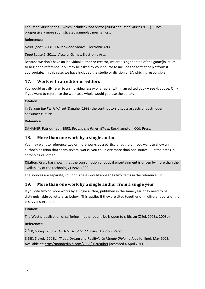The *Dead Space* series – which includes *Dead Space* (2008) and *Dead Space* (2011) – uses progressively more sophisticated gameplay mechanics…

## **References:**

*Dead Space.* 2008*.* EA Redwood Shores, Electronic Arts*.* 

*Dead Space 2.* 2011. Visceral Games, Electronic Arts.

Because we don't have an individual author or creator, we are using the title of the game(in italics) to begin the reference. You may be asked by your course to include the format or platform if appropriate. In this case, we have included the studio or division of EA which is responsible.

## <span id="page-11-0"></span>**17. Work with an editor or editors**

You would usually refer to an individual essay or chapter within an edited book – see 4. above. Only if you want to reference the work as a whole would you use the editor.

#### **Citation:**

In *Beyond the Ferris Wheel* (Danaher 1998) the contributors discuss aspects of postmodern consumer culture...

#### **Reference:**

DANAHER, Patrick. (ed.) 1998. *Beyond the Ferris Wheel.* Rockhampton: CQU Press.

## <span id="page-11-1"></span>**18. More than one work by a single author**

You may want to reference two or more works by a particular author. If you want to show an author's position that spans several works, you could cite more than one source. Put the dates in chronological order.

**Citation:** Crary has shown that the consumption of optical entertainment is driven by more than the availability of the technology (1992, 1999).

The sources are separate, so (in this case) would appear as two items in the reference list.

## <span id="page-11-2"></span>**19. More than one work by a single author from a single year**

If you cite two or more works by a single author, published in the same year, they need to be distinguishable by letters, as below. This applies if they are cited together or in different parts of the essay / dissertation.

#### **Citation:**

The West's idealisation of suffering in other countries is open to criticism (Žižek 2008a, 2008b).

## **References:**

ŽIŽEK, Slavoj. 2008a. *In Defense of Lost Causes*. London: Verso.

ŽIŽEK, Slavoj. 2008b. 'Tibet: Dream and Reality'. *Le Monde Diplomatique* [online], May 2008. Available at[: http://mondediplo.com/2008/05/09tibet](http://mondediplo.com/2008/05/09tibet) [accessed 4 April 2011].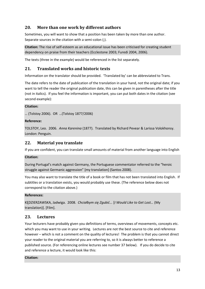## <span id="page-12-0"></span>**20. More than one work by different authors**

Sometimes, you will want to show that a position has been taken by more than one author. Separate sources in the citation with a semi-colon (;).

**Citation:** The rise of self-esteem as an educational issue has been criticised for creating student dependency on praise from their teachers (Ecclestone 2003; Furedi 2004, 2006).

The texts (three in the example) would be referenced in the list separately.

## <span id="page-12-1"></span>**21. Translated works and historic texts**

Information on the translator should be provided. 'Translated by' can be abbreviated to Trans.

The date refers to the date of publication of the translation in your hand, not the original date; if you want to tell the reader the original publication date, this can be given in parentheses after the title (not in italics). If you feel the information is important, you can put both dates in the citation (see second example):

#### **Citation:**

… (Tolstoy 2006). OR …(Tolstoy 1877/2006)

#### **Reference:**

TOLSTOY, Leo. 2006. *Anna Karenina* (1877). Translated by Richard Pevear & Larissa Volokhonsy. London: Penguin.

#### <span id="page-12-2"></span>**22. Material you translate**

If you are confident, you can translate small amounts of material from another language into English

#### **Citation:**

During Portugal's match against Germany, the Portuguese commentator referred to the "heroic struggle against Germanic aggression" [my translation] (Santos 2008).

You may also want to translate the title of a book or film that has not been translated into English. If subtitles or a translation exists, you would probably use these. (The reference below does not correspond to the citation above.)

#### **References:**

KĘDZIERZAWSKA, Jadwiga. 2008. *Chciałbym się Zgubić...* [*I Would Like to Get Lost…* (My translation)]. [Film].

#### <span id="page-12-3"></span>**23. Lectures**

Your lecturers have probably given you definitions of terms, overviews of movements, concepts etc. which you may want to use in your writing. Lectures are not the best source to cite and reference however – which is not a comment on the quality of lectures! The problem is that you cannot direct your reader to the original material you are referring to, so it is always better to reference a published source. (For referencing online lectures see number 37 below). If you do decide to cite and reference a lecture, it would look like this:

#### **Citation:**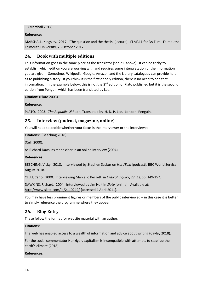… (Marshall 2017).

#### **Reference:**

MARSHALL, Kingsley. 2017. 'The question and the thesis' [lecture]. FLM311 for BA Film. Falmouth: Falmouth University, 26 October 2017.

## <span id="page-13-0"></span>**24. Book with multiple editions**

This information goes in the same place as the translator (see 21. above). It can be tricky to establish which edition you are working with and requires some interpretation of the information you are given. Sometimes Wikipedia, Google, Amazon and the Library catalogues can provide help as to publishing history. If you think it is the first or only edition, there is no need to add that information. In the example below, this is not the  $2^{nd}$  edition of Plato published but it is the second edition from Penguin which has been translated by Lee.

**Citation:** (Plato 2003).

#### **Reference:**

PLATO. 2003. *The Republic*. 2<sup>nd</sup> edn. Translated by H. D. P. Lee. London: Penguin.

#### <span id="page-13-1"></span>**25. Interview (podcast, magazine, online)**

You will need to decide whether your focus is the interviewer or the interviewed

#### **Citations:** (Beeching 2018)

(Celli 2000).

As Richard Dawkins made clear in an online interview (2004).

#### **References**:

BEECHING, Vicky. 2018. Interviewed by Stephen Sackur on *HardTalk* [podcast]. BBC World Service, August 2018.

CELLI, Carlo. 2000. Interviewing Marcello Pezzetti in *Critical Inquiry*, 27 (1), pp. 149-157.

DAWKINS, Richard. 2004. Interviewed by Jim Holt in *Slate* [online]. Available at: <http://www.slate.com/id/2110249/> [accessed 4 April 2011].

You may have less prominent figures or members of the public interviewed – in this case it is better to simply reference the programme where they appear.

## <span id="page-13-2"></span>**26. Blog Entry**

These follow the format for website material with an author.

#### **Citations:**

The web has enabled access to a wealth of information and advice about writing (Cayley 2018).

For the social commentator Hunziger, capitalism is incompatible with attempts to stabilize the earth's climate (2018).

#### **References:**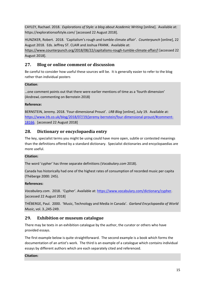CAYLEY, Rachael. 2018. *Explorations of Style: a blog about Academic Writing* [online]. Available at: https://explorationsofstyle.com/ [accessed 22 August 2018].

HUNZIKER, Robert. 2018. 'Capitalism's rough and tumble climate affair'. *Counterpunch* [online], 22 August 2018. Eds. Jeffrey ST. CLAIR and Joshua FRANK. Available at:

[https://www.counterpunch.org/2018/08/22/capitalisms-rough-tumble-climate-affair/l](http://counterpunch.org/farago07252008.html) [accessed 22 August 2018].

## <span id="page-14-0"></span>**27. Blog or online comment or discussion**

Be careful to consider how useful these sources will be. It is generally easier to refer to the blog rather than individual posters

#### **Citation**:

…one comment points out that there were earlier mentions of time as a 'fourth dimension' (AndrewL commenting on Bernstein 2018)

#### **Reference:**

BERNSTEIN, Jeremy. 2018. 'Four-dimensional Proust'. *LRB Blog* [online], July 19. Available at: [https://www.lrb.co.uk/blog/2018/07/19/jeremy-bernstein/four-dimensional-proust/#comment-](https://www.lrb.co.uk/blog/2018/07/19/jeremy-bernstein/four-dimensional-proust/#comment-18166)[18166.](https://www.lrb.co.uk/blog/2018/07/19/jeremy-bernstein/four-dimensional-proust/#comment-18166) [accessed 22 August 2018]

## <span id="page-14-1"></span>**28. Dictionary or encyclopaedia entry**

The key, specialist terms you might be using could have more open, subtle or contested meanings than the definitions offered by a standard dictionary. Specialist dictionaries and encyclopaedias are more useful.

#### **Citation:**

The word 'cypher' has three separate definitions (*Vocabulary.com* 2018).

Canada has historically had one of the highest rates of consumption of recorded music per capita (Théberge 2000: 245).

#### **References:**

*Vocabulary.com*. 2018. 'Cypher'. Available at: [https://www.vocabulary.com/dictionary/cypher.](https://www.vocabulary.com/dictionary/cypher) [accessed 22 August 2018]

THÉBERGE, Paul. 2000. 'Music, Technology and Media in Canada'. *Garland Encyclopaedia of World Music*, vol. 3.,245-249.

## <span id="page-14-2"></span>**29. Exhibition or museum catalogue**

There may be texts in an exhibition catalogue by the author, the curator or others who have provided essays.

The first example below is quite straightforward. The second example is a book which forms the documentation of an artist's work. The third is an example of a catalogue which contains individual essays by different authors which are each separately cited and referenced.

#### **Citation:**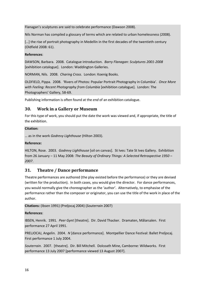Flanagan's sculptures are said to celebrate performance (Dawson 2008).

Nils Norman has compiled a glossary of terms which are related to urban homelessness (2008).

[...] the rise of portrait photography in Medellin in the first decades of the twentieth century (Oldfield 2008: 61).

#### **References**:

DAWSON, Barbara. 2008. Catalogue introduction. *Barry Flanagan: Sculptures 2001-2008* [exhibition catalogue]. London: Waddington Galleries.

NORMAN, Nils. 2008. *Charing Cross*. London: Koenig Books.

OLDFIELD, Pippa. 2008. 'Rivers of Photos: Popular Portrait Photography in Columbia'. *Once More with Feeling: Recent Photography from Columbia* [exhibition catalogue]. London: The Photographers' Gallery, 58-69.

Publishing information is often found at the *end* of an exhibition catalogue.

#### <span id="page-15-0"></span>**30. Work in a Gallery or Museum**

For this type of work, you should put the date the work was viewed and, if appropriate, the title of the exhibition.

#### **Citation:**

… as in the work *Godrevy Lighthouse* (Hilton 2003).

#### **Reference:**

HILTON, Rose. 2003. *Godrevy Lighthouse* [oil on canvas]. St Ives: Tate St Ives Gallery. Exhibition from 26 January – 11 May 2008: *The Beauty of Ordinary Things: A Selected Retrospective 1950 – 2007*.

#### <span id="page-15-1"></span>**31. Theatre / Dance performance**

Theatre performances are authored (the play existed before the performance) or they are devised (written for the production). In both cases, you would give the director. For dance performances, you would normally give the choreographer as the 'author'. Alternatively, to emphasise of the performance rather than the composer or originator, you can use the title of the work in place of the author.

**Citations:** (Ibsen 1991) (Preljocaj 2004) (*Souterrain* 2007)

#### **References**:

IBSEN, Henrik. 1991. *Peer Gynt* [theatre]. Dir. David Thacker. Dramaten, Målarsalen. First performance 27 April 1991.

PRELJOCAJ, Angelin. 2004. *N* [dance performance]. Montpellier Dance Festival: Ballet Preljocaj. First performance 1 July 2004.

*Souterrain*. 2007. [theatre]. Dir. Bill Mitchell. Dolcoath Mine, Camborne: Wildworks. First performance 13 July 2007 [performance viewed 13 August 2007].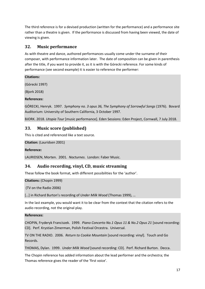The third reference is for a devised production (written for the performance) and a performance site rather than a theatre is given. If the performance is discussed from having been viewed, the date of viewing is given.

## <span id="page-16-0"></span>**32. Music performance**

As with theatre and dance, authored performances usually come under the surname of their composer, with performance information later. The date of composition can be given in parenthesis after the title, if you want to provide it, as it is with the Górecki reference. For some kinds of performance (see second example) it is easier to reference the performer:

**Citations:**

(Górecki 1997)

(Bjork 2018)

#### **References:**

GÓRECKI, Henryk. 1997. *Symphony no. 3 opus 36, The Symphony of Sorrowful Songs* (1976). Bovard Auditorium: University of Southern California, 3 October 1997.

BJORK. 2018. *Utopia Tour* [music performance]. Eden Sessions: Eden Project, Cornwall, 7 July 2018.

## <span id="page-16-1"></span>**33. Music score (published)**

This is cited and referenced like a text source.

```
Citation: (Lauridsen 2001)
```
#### **Reference:**

```
LAURIDSEN, Morten. 2001. Nocturnes. London: Faber Music.
```
## <span id="page-16-2"></span>**34. Audio recording, vinyl, CD, music streaming**

These follow the book format, with different possibilities for the 'author'.

**Citations:** (Chopin 1999)

(TV on the Radio 2006)

[…] in Richard Burton's recording of *Under Milk Wood* (Thomas 1999), …

In the last example, you would want it to be clear from the context that the citation refers to the audio recording, not the original play.

#### **References:**

CHOPIN, Fryderyk Franciszek. 1999. *Piano Concerto No.1 Opus 11 & No.2 Opus 21* [sound recording: CD]. Perf. Krystian Zimerman, Polish Festival Orcestra. Universal.

TV ON THE RADIO. 2006. *Return to Cookie Mountain* [sound recording: vinyl]. Touch and Go Records.

THOMAS, Dylan. 1999. *Under Milk Wood* [sound recording: CD]. Perf. Richard Burton. Decca.

The Chopin reference has added information about the lead performer and the orchestra; the Thomas reference gives the reader of the 'first voice'.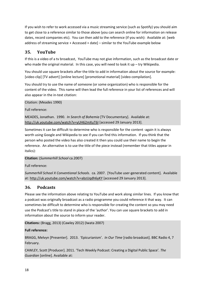If you wish to refer to work accessed via a music streaming service (such as Spotify) you should aim to get close to a reference similar to those above (you can search online for information on release dates, record companies etc). You can then add to the reference (if you wish): Available at: [web address of streaming service + Accessed + date] – similar to the YouTube example below

## <span id="page-17-0"></span>**35. YouTube**

If this is a video of a tv broadcast, YouTube may not give information, such as the broadcast date or who made the original material. In this case, you will need to look it up – try Wikipedia.

You should use square brackets after the title to add in information about the source for example: [video clip] [TV advert] [online lecture] [promotional material] [video compilation].

You should try to use the name of someone (or some organization) who is responsible for the content of the video. This name will then lead the full reference in your list of references and will also appear in the in-text citation:

Citation: (Meades 1990)

Full reference:

MEADES, Jonathan. 1990. *In Search of Bohemia* [TV Documentary]. Available at: <http://uk.youtube.com/watch?v=yUH62mXuT6I> [accessed 29 January 2013].

Sometimes it can be difficult to determine who is responsible for the content -again it is always worth using Google and Wikipedia to see if you can find this information. If you think that the person who posted the video has also created it then you could use their name to begin the reference. An alternative is to use the title of the piece instead (remember that titles appear in italics):

**Citation:** (*Summerhill School* ca.2007)

Full reference:

*Summerhill School X Conventional Schools*. ca. 2007. [YouTube user-generated content]. Available at:<http://uk.youtube.com/watch?v=abzUqdh6yKY> [accessed 29 January 2013].

## <span id="page-17-1"></span>**36. Podcasts**

Please see the information above relating to YouTube and work along similar lines. If you know that a podcast was originally broadcast as a radio programme you could reference it that way. It can sometimes be difficult to determine who is responsible for creating the content so you may need use the Podcast's title to stand in place of the 'author'. You can use square brackets to add in information about the source to inform your reader.

**Citations:** (Bragg, 2013) (Cawley 2012) (Iwata 2007)

#### **Full reference:**

BRAGG, Melvyn [Presenter]. 2013. 'Epicurianism'. *In Our Time* [radio broadcast]. BBC Radio 4, 7 February.

CAWLEY, Scott [Producer]. 2011. 'Tech Weekly Podcast: Creating a Digital Public Space'*. The Guardian* [online]. Available at: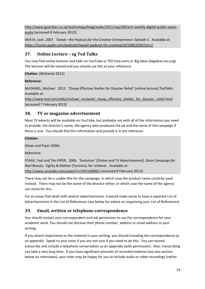[http://www.guardian.co.uk/technology/blog/audio/2011/sep/28/tech-weekly-digital-public-space](http://www.guardian.co.uk/technology/blog/audio/2011/sep/28/tech-weekly-digital-public-space-audio)[audio](http://www.guardian.co.uk/technology/blog/audio/2011/sep/28/tech-weekly-digital-public-space-audio) [accessed 8 February 2013].

IWATA, Josh. 2007. *Tweak –the Podcast for the Creative Entrepreneur: Episode 5.* Available at: <https://itunes.apple.com/podcast/tweak!-podcast-for-creative/id210822296?mt=2>

## <span id="page-18-0"></span>**37. Online Lecture – eg Ted Talks**

You may find online lectures and talks on YouTube or TED (ted.com) or Big Ideas (bigideas.tvo.org). The lecturer will be named and you should use this as your reference:

**Citation**: (McDaniel 2012)

## **Reference:**

McDANIEL, Michael. 2012. 'Cheap Effective Shelter for Disaster Relief' [online lecture].*TedTalks.*  Available at:

[http://www.ted.com/talks/michael\\_mcdaniel\\_cheap\\_effective\\_shelter\\_for\\_disaster\\_relief.html](http://www.ted.com/talks/michael_mcdaniel_cheap_effective_shelter_for_disaster_relief.html) [accessed 7 February 2013]

## <span id="page-18-1"></span>**38. TV or magazine advertisement**

Most TV adverts will be available on YouTube, but probably not with all of the information you need to provide: the director's name, the agency who produced the ad and the name of the campaign if there is one. You should find this information and provide it in the reference.

#### **Citation:**

(Staav and Piper 2006)

Reference:

STAAV, Yael and Tim PIPER. 2006. 'Evolution' [Online and TV Advertisement]. *Dove Campaign for Real Beauty*. Ogilvy & Mather (Toronto), for Unilever. Available at: <http://www.youtube.com/watch?v=iYhCn0jf46U> [accessed 8 February 2013].

There may not be a usable title for the campaign, in which case the product name could be used instead. There may not be the name of the director either, in which case the name of the agency can stand for this.

For an essay that dealt with several advertisements, it would make sense to have a separate List of Advertisements in the List of References (see below for advice on organising your List of References)

## <span id="page-18-2"></span>**39. Email, written or telephone correspondence**

You should contact your correspondent and ask permission to use the correspondence for your academic work. You should not disclose their phone number, address or email address in your writing.

If you attach importance to the material in your writing, you should including the correspondence as an appendix. Speak to your tutor if you are not sure if you need to do this. You can record, transcribe and include a telephone conversation as an appendix (with permission). Also, transcribing can take a very long time. If you have significant amounts of recorded material (see also section below on interviews), your tutor may be happy for you to include audio or video recordings (rather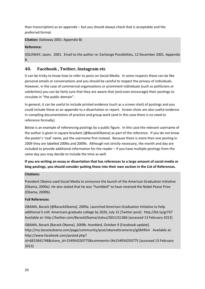than transcription) as an appendix – but you should always check that is acceptable and the preferred format.

#### **Citation:** (Soloway 2001: Appendix B)

#### **Reference:**

SOLOWAY, Jason. 2001. Email to the author re: Exchange Possibilities, 12 December 2001. Appendix B.

## <span id="page-19-0"></span>**40. Facebook , Twitter, Instagram etc**

It can be tricky to know how to refer to posts on Social Media. In some respects these can be like personal emails or conversations and you should be careful to respect the privacy of individuals. However, in the case of commercial organisations or prominent individuals (such as politicians or celebrities) you can be fairly sure that they are aware that (and even encourage) their postings to circulate in "the public domain".

In general, it can be useful to include printed evidence (such as a screen shot) of postings and you could include these as an appendix to a dissertation or report. Screen shots are also useful evidence in compiling documentation of practice and group work (and in this case there is no need to reference formally).

Below is an example of referencing postings by a public figure. In this case the relevant username of the author is given in square brackets [@BarackObama] as part of the reference. If you do not know the poster's 'real' name, put the username first instead. Because there is more than one posting in 2009 they are labelled 2009a and 2009b. Although not strictly necessary, the month and day are included to provide additional information for the reader – if you have multiple postings from the same day you may decide to include the time as well.

**If you are writing an essay or dissertation that has references to a large amount of social media or blog postings, you should consider putting these into their own section in the List of References.**

#### **Citations:**

President Obama used Social Media to announce the launch of the American Graduation Initiative (Obama, 2009a). He also stated that he was "humbled" to have received the Nobel Peace Prize (Obama, 2009b).

#### **Full References**:

OBAMA, Barack [@BarackObama]. 2009a. Launched American Graduation Initiative to help additional 5 mill. Americans graduate college by 2020, July 15 [Twitter post]: http://bit.ly/gcTX7 Available at: http://twitter.com/BarackObama/status/2651151366 [accessed 13 February 2013]

OBAMA, Barack [Barack Obama]. 2009b. Humbled, October 9 [Facebook update]. http://my.barackobama.com/page/community/post/obamaforamerica/gGM45m Available at: http://www.facebook.com/posted.php?

id=6815841748&share\_id=154954250775&comments=1#s154954250775 [accessed 13 February 2013]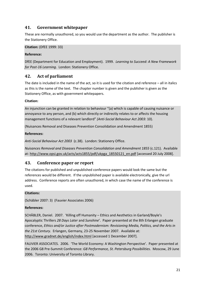## <span id="page-20-0"></span>**41. Government whitepaper**

These are normally unauthored, so you would use the department as the author. The publisher is the Stationery Office.

**Citation:** (DfEE 1999: 33)

#### **Reference:**

DfEE (Department for Education and Employment). 1999. *Learning to Succeed: A New Framework for Post-16 Learning*. London: Stationery Office.

## <span id="page-20-1"></span>**42. Act of parliament**

The date is included in the name of the act, so it is used for the citation and reference – all in italics as this is the name of the text. The chapter number is given and the publisher is given as the Stationery Office, as with government whitepapers.

#### **Citation:**

An injunction can be granted in relation to behaviour "(a) which is capable of causing nuisance or annoyance to any person, and (b) which directly or indirectly relates to or affects the housing management functions of a relevant landlord" *(Anti-Social Behaviour Act 2003*: 10).

(Nuisances Removal and Diseases Prevention Consolidation and Amendment 1855)

#### **References:**

*Anti-Social Behaviour Act 2003* (c.38). London: Stationery Office.

*Nuisances Removal and Diseases Prevention Consolidation and Amendment 1855* (c.121). Available at: [http://www.opsi.gov.uk/acts/acts1855/pdf/ukpga\\_18550121\\_en.pdf](http://www.opsi.gov.uk/acts/acts1855/pdf/ukpga_18550121_en.pdf) [accessed 20 July 2008].

#### <span id="page-20-2"></span>**43. Conference paper or report**

The citations for published and unpublished conference papers would look the same but the references would be different. If the unpublished paper is available electronically, give the url address. Conference reports are often unauthored, in which case the name of the conference is used.

#### **Citations:**

(Schäbler 2007: 3) (Fauvier Associates 2006)

#### **References:**

SCHÄBLER, Daniel. 2007. 'Killing off Humanity – Ethics and Aesthetics in Garland/Boyle's Apocalyptic Thrillers *28 Days Later* and *Sunshine*'. Paper presented at the 8th Erlangen graduate conference, *Ethics and/or Justice after Postmodernism: Revisioning Media, Politics, and the Arts in the 21st Century*. Erlangen, Germany, 23-25 November 2007. Available at: <http://www.gradnet.de/english/index.html> [accessed 1 December 2007].

FAUVIER ASSOCIATES. 2006. 'The World Economy: A Washington Perspective'. Paper presented at the 2006 G8 Pre-Summit Conference: *G8 Performance, St. Petersburg Possibilities*. Moscow, 29 June 2006. Toronto: University of Toronto Library.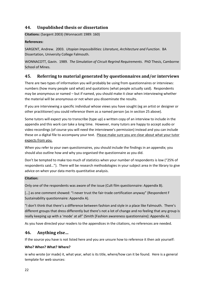## <span id="page-21-0"></span>**44. Unpublished thesis or dissertation**

**Citations:** (Sargent 2003) (Wonnacott 1989: 160)

#### **References:**

SARGENT, Andrew. 2003. *Utopian Impossibilities: Literature, Architecture and Function*. BA Dissertation, University College Falmouth.

WONNACOTT, Gavin. 1989. *The Simulation of Circuit Regrind Requirements*. PhD Thesis, Camborne School of Mines.

## <span id="page-21-1"></span>**45. Referring to material generated by questionnaires and/or interviews**

There are two types of information you will probably be using from questionnaires or interviews: numbers (how many people said what) and quotations (what people actually said). Respondents may be anonymous or named – but if named, you should make it clear when interviewing whether the material will be anonymous or not when you disseminate the results.

If you are interviewing a specific individual whose views you have sought (eg an artist or designer or other practitioner) you could reference them as a named person (as in section 25 above).

Some tutors will expect you to transcribe (type up) a written copy of an interview to include in the appendix and this work can take a long time. However, many tutors are happy to accept audio or video recordings (of course you will need the interviewee's permission) instead and you can include these on a digital file to accompany your text. Please make sure you are clear about what your tutor expects from you.

When you refer to your own questionnaires, you should include the findings in an appendix; you should also outline how and why you organised the questionnaire as you did.

Don't be tempted to make too much of statistics when your number of respondents is low ("25% of respondents said…"). There will be research methodologies in your subject area in the library to give advice on when your data merits quantitative analysis.

#### **Citation:**

Only one of the respondents was aware of the issue (Cult film questionnaire: Appendix B).

[...] as one comment showed: "I never trust the fair-trade certification anyway" (Respondent F Sustainability questionnaire: Appendix A).

"I don't think that there's a difference between fashion and style in a place like Falmouth. There's different groups that dress differently but there's not a lot of change and no feeling that any group is really keeping up with a 'mode' at all" (Smith [Fashion awareness questionnaire]: Appendix A).

As you have directed your readers to the appendices in the citations, no references are needed.

## <span id="page-21-2"></span>**46. Anything else…**

If the source you have is not listed here and you are unsure how to reference it then ask yourself:

#### **Who? When? What? Where?**

ie who wrote (or made) it, what year, what is its title, where/how can it be found. Here is a general template for web sources: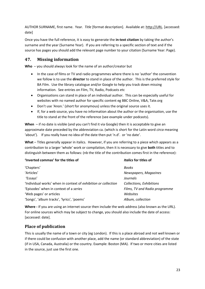AUTHOR SURNAME, first name. Year. *Title* [format description]. Available at: [http://URL.](http://url/) [accessed: date]

Once you have the full reference, it is easy to generate the **in-text citation** by taking the author's surname and the year (Surname Year). If you are referring to a specific section of text and if the source has pages you should add the relevant page number to your citation (Surname Year: Page).

## <span id="page-22-0"></span>**47. Missing information**

**Who** – you should always look for the name of an author/creator but

- In the case of films or TV and radio programmes where there is no 'author' the convention we follow is to use the **director** to stand in place of the author. This is the preferred style for BA Film. Use the library catalogue and/or Google to help you track down missing information. See entries on Film, TV, Radio, Podcasts etc
- Organisations can stand in place of an individual author. This can be especially useful for websites with no named author for specific content eg BBC Online, V&A, Tate.org
- Don't use 'Anon.' (short for anonymous) unless the original source uses it.
- If, for a web source, you have no information about the author or the organisation, use the title to stand at the front of the reference (see example under podcasts).

**When** – if no date is visible (and you can't find it via Google) then it is acceptable to give an approximate date preceded by the abbreviation ca. (which is short for the Latin word *circa* meaning 'about'). If you really have no idea of the date then put 'n.d'. or 'no date'.

**What** – Titles generally appear in italics. However, if you are referring to a piece which appears as a contribution to a larger 'whole' work or compilation, then it is necessary to give **both** titles and to distinguish between them as follows: (nb the title of the contribution comes first in the reference):

| 'Inverted commas' for the titles of                            | Italics for titles of           |  |
|----------------------------------------------------------------|---------------------------------|--|
| 'Chapters'                                                     | <b>Books</b>                    |  |
| 'Articles'                                                     | Newspapers, Magazines           |  |
| 'Essays'                                                       | Journals                        |  |
| 'Individual works' when in context of exhibition or collection | <b>Collections, Exhibitions</b> |  |
| 'Episodes' when in context of a series                         | Films, TV and Radio programme   |  |
| 'Web pages' or articles                                        | Websites                        |  |
| 'Songs', 'album tracks', 'lyrics', 'poems'                     | Album, collection               |  |

**Where -** If you are using an internet source then include the web address (also known as the URL). For online sources which may be subject to change, you should also include the date of access: [accessed: date].

## <span id="page-22-1"></span>**Place of publication**

This is usually the name of a town or city (eg London). If this is a place abroad and not well known or if there could be confusion with another place, add the name (or standard abbreviation) of the state (if in USA, Canada, Australia) or the country. Example: Boston (MA). If two or more cities are listed in the source, just use the first one.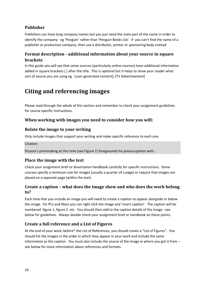## <span id="page-23-0"></span>**Publisher**

Publishers can have long company names but you just need the main part of the name in order to identify the company: eg 'Penguin' rather than 'Penguin Books Ltd.' If you can't find the name of a publisher or production company, then use a distributor, printer or sponsoring body instead

## <span id="page-23-1"></span>**Format description - additional information about your source in square brackets**

In this guide you will see that some sources (particularly online sources) have additional information added in square brackets [ ] after the title. This is optional but it helps to show your reader what sort of source you are using eg [user-generated content], [TV Advertisement]

# <span id="page-23-2"></span>**Citing and referencing images**

Please read through the whole of this section and remember to check your assignment guidelines for course specific instructions.

## <span id="page-23-3"></span>**When working with images you need to consider how you will:**

## <span id="page-23-4"></span>**Relate the image to your writing**

Only include images that support your writing and make specific reference to each one.

Citation:

Picasso's printmaking at this time (see Figure 1) foregrounds his preoccupation with…

## <span id="page-23-5"></span>**Place the image with the text**

Check your assignment brief or dissertation handbook carefully for specific instructions. Some courses specify a minimum size for images (usually a quarter of a page) or require that images are placed on a separate page (within the text).

## <span id="page-23-6"></span>**Create a caption – what does the image show and who does the work belong to?**

Each time that you include an image you will need to create a caption to appear alongside or below the image. On PCs and Macs you can right click the image and 'insert caption'. The caption will be numbered figure 1, figure 2 etc. You should then add to the caption details of the image –see below for guidelines. Always double check your assignment brief or handbook on these points.

## <span id="page-23-7"></span>**Create a full reference and a List of Figures**

At the end of your work, before\* the List of References, you should create a "List of Figures". You should list the images in the order in which they appear in your work and include the same information as the caption. You must also include the source of the image ie where you got it from – see below for more information about references and formats.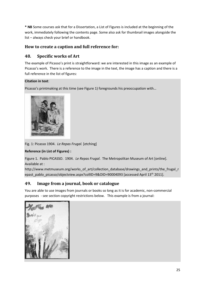**\* NB** Some courses ask that for a Dissertation, a List of Figures is included at the beginning of the work, immediately following the contents page. Some also ask for thumbnail images alongside the list – always check your brief or handbook.

## <span id="page-24-0"></span>**How to create a caption and full reference for:**

## <span id="page-24-1"></span>**48. Specific works of Art**

The example of Picasso's print is straightforward: we are interested in this image as an example of Picasso's work. There is a reference to the image in the text, the image has a caption and there is a full reference in the list of figures:

## **Citation in text**:

Picasso's printmaking at this time (see Figure 1) foregrounds his preoccupation with…



Fig. 1: Picasso 1904. *Le Repas Frugal.* [etching]

## **Reference (in List of Figures) :**

Figure 1. Pablo PICASSO. 1904. *Le Repas Frugal*. The Metropolitan Museum of Art [online]. Available at :

http://www.metmuseum.org/works\_of\_art/collection\_database/drawings\_and\_prints/the\_frugal\_r epast\_pablo\_picasso/objectview.aspx?collID=9&OID=90004093 [accessed April 13<sup>th</sup> 2011].

## <span id="page-24-2"></span>**49. Image from a journal, book or catalogue**

You are able to use images from journals or books so long as it is for academic, non-commercial purposes - see section copyright restrictions below. This example is from a journal:

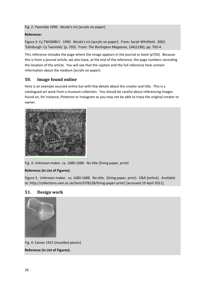Fig. 2: Twombly 1990. *Nicola's iris* [acrylic on paper]

#### **Reference:**

Figure 2: Cy TWOMBLY. 1990. *Nicola's iris* [acrylic on paper]. From: Sarah Whitfield. 2002. 'Edinburgh: Cy Twombly' (p. 703). From: *The Burlington Magazine*, 144(1196), pp. 703-4.

This reference includes the page where the image appears in the journal or book (p703). Because this is from a journal article, we also have, at the end of the reference, the page numbers recording the location of the article. You will see that the caption and the full reference here contain information about the medium [acrylic on paper].

## <span id="page-25-0"></span>**50. Image found online**

Here is an example sourced online but with few details about the creator and title. This is a catalogued art work from a museum collection. You should be careful about referencing images found on, for instance, Pinterest or Instagram as you may not be able to trace the original creator or owner.



Fig. 3: Unknown maker. ca. 1680-1688. No title [lining paper, print]

#### **Reference (in List of Figures):**

Figure 3. Unknown maker. ca. 1680-1688. No title. [lining paper, print]. V&A [online]. Available at: http://collections.vam.ac.uk/item/O78128/lining-paper-print/ [accessed 19 April 2011].

## <span id="page-25-1"></span>**51. Design work**



Fig. 4: Eames 1952 [moulded plastic] **Reference (in List of Figures):**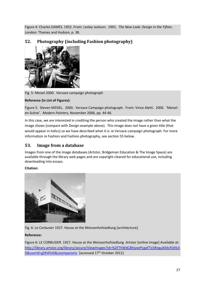Figure 4: Charles EAMES. 1952. From: Lesley Jackson. 1991. *The New Look: Design in the Fifties*. London: Thames and Hudson, p. 38.

## <span id="page-26-0"></span>**52. Photography (including Fashion photography)**



Fig. 5: Meisel 2000. Versace campaign photograph

## **Reference (in List of Figures):**

Figure 5: Steven MEISEL. 2000. Versace Campaign photograph. From: Vince Aletti. 2006. 'Meiselen-Scène'. *Modern Painters,* November 2006, pp. 44-46.

In this case, we are interested in crediting the person who created the image rather than what the image shows (compare with Design example above). This image does not have a given title (that would appear in italics) so we have described what it is: ie Versace campaign photograph. For more information re Fashion and Fashion photography, see section 55 below.

## <span id="page-26-1"></span>**53. Image from a database**

Images from one of the image databases (Artstor, Bridgeman Education & The Image Space) are available through the library web pages and are copyright cleared for educational use, including downloading into essays.

#### **Citation:**



Fig. 6: Le Corbusier 1927. House at the Weissenhofsiedlung [architecture]*.*

## **Reference:**

Figure 6: LE CORBUSIER. 1927. House at the Weissenhofsiedlung*.* Artstor [online image] Available at: [http://library.artstor.org/library/secure/ViewImages?id=%2FThWdC8hIywtPygxFTx5RnguXX4sfVA%3](http://library.artstor.org/library/secure/ViewImages?id=%2FThWdC8hIywtPygxFTx5RnguXX4sfVA%3D&userId=gDhKfz4i&zoomparams) [D&userId=gDhKfz4i&zoomparams](http://library.artstor.org/library/secure/ViewImages?id=%2FThWdC8hIywtPygxFTx5RnguXX4sfVA%3D&userId=gDhKfz4i&zoomparams) [accessed 17<sup>th</sup> October 2011]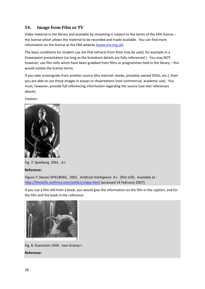## <span id="page-27-0"></span>**54. Image from Film or TV**

Video material in the library and available by streaming is subject to the terms of the ERA license – the license which allows the material to be recorded and made available. You can find more information on the license at the ERA website [\(www.era.org.uk\)](http://www.era.org.uk/).

The basic conditions for student use are that extracts from films may be used, for example in a Powerpoint presentation (so long as the broadcast details are fully referenced ). You may NOT, however, use film stills which have been grabbed from films or programmes held in the library – this would violate the license terms.

If you take screengrabs from another source (the internet, books, privately owned DVDs, etc.), then you are able to use those images in essays or dissertations (non-commercial, academic use). You must, however, provide full referencing information regarding the source (see text references above).

Citation:



Fig. 7: Spielberg 2001. *A.I.*

**Reference:**

Figure 7: Steven SPIELBERG. 2001. *Artificial Intelligence: A.I.* [film still]. Available at : <http://filmstills.netfirms.com/artific1/index.html> [accessed 14 February 2007].

If you use a film still from a book, you would give the information on the film in the caption, and for the film and the book in the reference.



Fig. 8: Eisenstein 1944. *Ivan Grozny I.* **Reference:**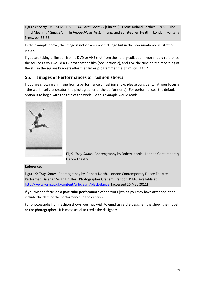Figure 8: Sergei M EISENSTEIN. 1944. *Ivan Grozny I* [film still]. From: Roland Barthes. 1977. 'The Third Meaning ' (image VII). In *Image Music Text*. (Trans. and ed. Stephen Heath]. London: Fontana Press, pp. 52-68.

In the example above, the image is not on a numbered page but in the non-numbered illustration plates.

If you are taking a film still from a DVD or VHS (not from the library collection), you should reference the source as you would a TV broadcast or film (see Section 2), and give the time on the recording of the still in the square brackets after the film or programme title: [film still, 23:12]

## <span id="page-28-0"></span>**55. Images of Performances or Fashion shows**

If you are showing an image from a performance or fashion show, please consider what your focus is - the work itself, its creator, the photographer or the performer(s). For performances, the default option is to begin with the title of the work. So this example would read:

Fig 9: *Troy Game.* Choreography by Robert North. London Contemporary Dance Theatre.

#### **Reference:**

Figure 9: *Troy Game.* Choreography by Robert North. London Contemporary Dance Theatre. Performer: Darshan Singh Bhuller. Photographer Graham Brandon 1986. Available at: [http://www.vam.ac.uk/content/articles/h/black-dance.](http://www.vam.ac.uk/content/articles/h/black-dance) [accessed 26 May 2011]

If you wish to focus on a **particular performance** of the work (which you may have attended) then include the date of the performance in the caption.

For photographs from fashion shows you may wish to emphasise the designer, the show, the model or the photographer. It is most usual to credit the designer: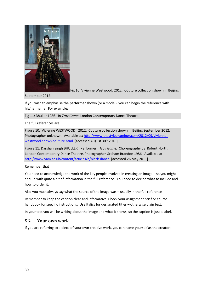

Fig 10: Vivienne Westwood. 2012. Couture collection shown in Beijing

September 2012.

If you wish to emphasise the **performer** shown (or a model), you can begin the reference with his/her name. For example:

Fig 11: Bhuller 1986. In *Troy Game.* London Contemporary Dance Theatre.

The full references are:

Figure 10. Vivienne WESTWOOD. 2012. Couture collection shown in Beijing September 2012. Photographer unknown. Available at[: http://www.thestyleexaminer.com/2012/09/vivienne](http://www.thestyleexaminer.com/2012/09/vivienne-westwood-shows-couture.html)[westwood-shows-couture.html](http://www.thestyleexaminer.com/2012/09/vivienne-westwood-shows-couture.html) [accessed August 30<sup>th</sup> 2018].

Figure 11: Darshan Singh BHULLER (Performer). *Troy Game.* Choreography by Robert North. London Contemporary Dance Theatre. Photographer Graham Brandon 1986. Available at: [http://www.vam.ac.uk/content/articles/h/black-dance.](http://www.vam.ac.uk/content/articles/h/black-dance) [accessed 26 May 2011]

Remember that

You need to acknowledge the work of the key people involved in creating an image – so you might end up with quite a bit of information in the full reference. You need to decide what to include and how to order it.

Also you must always say what the source of the image was – usually in the full reference

Remember to keep the caption clear and informative. Check your assignment brief or course handbook for specific instructions. Use Italics for designated titles – otherwise plain text.

In your text you will be writing about the image and what it shows, so the caption is just a label.

#### <span id="page-29-0"></span>**56. Your own work**

If you are referring to a piece of your own creative work, you can name yourself as the creator: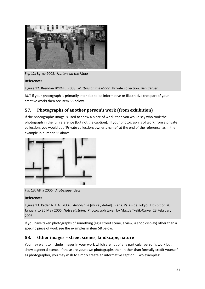

Fig. 12: Byrne 2008. *Nutters on the Moor*

## **Reference:**

Figure 12: Brendan BYRNE. 2008. *Nutters on the Moor*. Private collection: Ben Carver.

BUT if your photograph is primarily intended to be informative or illustrative (not part of your creative work) then see item 58 below.

## <span id="page-30-0"></span>**57. Photographs of another person's work (from exhibition)**

If the photographic image is used to show a piece of work, then you would say who took the photograph in the full reference (but not the caption). If your photograph is of work from a private collection, you would put "Private collection: owner's name" at the end of the reference, as in the example in number 56 above.



Fig. 13: Attia 2006. *Arabesque* [detail]

#### **Reference:**

Figure 13: Kader ATTIA. 2006. *Arabesque* [mural, detail]. Paris: Palais de Tokyo. Exhibition 20 January to 25 May 2006: *Notre Histoire*. Photograph taken by Magda Tyzlik-Carver 23 February 2006.

If you have taken photographs of something (eg a street scene, a view, a shop display) other than a specific piece of work see the examples in item 58 below.

## <span id="page-30-1"></span>**58. Other images – street scenes, landscape, nature**

You may want to include images in your work which are not of any particular person's work but show a general scene. If these are your own photographs then, rather than formally credit yourself as photographer, you may wish to simply create an informative caption. Two examples: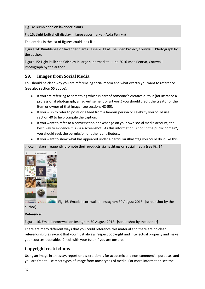Fig 14: Bumblebee on lavender plants

Fig 15: Light bulb shelf display in large supermarket (Asda Penryn)

The entries in the list of figures could look like:

Figure 14: Bumblebee on lavender plants. June 2011 at The Eden Project, Cornwall. Photograph by the author.

Figure 15: Light bulb shelf display in large supermarket. June 2016 Asda Penryn, Cornwall. Photograph by the author.

## <span id="page-31-0"></span>**59. Images from Social Media**

You should be clear why you are referencing social media and what exactly you want to reference (see also section 55 above).

- If you are referring to something which is part of someone's creative output (for instance a professional photograph, an advertisement or artwork) you should credit the creator of the item or owner of that image (see sections 48-55).
- If you wish to refer to posts or a feed from a famous person or celebrity you could use section 40 to help compile the caption.
- If you want to refer to a conversation or exchange on your own social media account, the best way to evidence it is via a screenshot. As this information is not 'in the public domain', you should seek the permission of other contributors.
- If you want to show what has appeared under a particular #hashtag you could do it like this:

…local makers frequently promote their products via hashtags on social media (see Fig.14)



 $\frac{1}{100}$  Fig. 16. #madeincornwall on Instagram 30 August 2018. [screenshot by the

author]

#### **Reference:**

Figure. 16. #madeincornwall on Instagram 30 August 2018. [screenshot by the author]

There are many different ways that you could reference this material and there are no clear referencing rules except that you must always respect copyright and intellectual property and make your sources traceable. Check with your tutor if you are unsure.

## <span id="page-31-1"></span>**Copyright restrictions**

Using an image in an essay, report or dissertation is for academic and non-commercial purposes and you are free to use most types of image from most types of media. For more information see the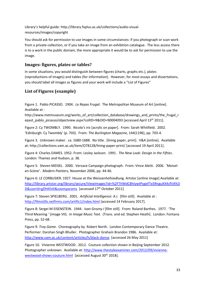Library's helpful guide: http://library.fxplus.ac.uk/collections/audio-visualresources/images/copyright

You should ask for permission to use images in some circumstances: if you photograph or scan work from a private collection, or if you take an image from an exhibition catalogue. The less access there is to a work in the public domain, the more appropriate it would be to ask for permission to use the image.

## <span id="page-32-0"></span>**Images: figures, plates or tables?**

In some situations, you would distinguish between figures (charts, graphs etc.), plates (reproductions of images) and tables (for information). However, for most essays and dissertations, you should label all images as figures and your work will include a "List of Figures"

## <span id="page-32-1"></span>**List of Figures (example)**

Figure 1. Pablo PICASSO. 1904. *Le Repas Frugal*. The Metropolitan Museum of Art [online]. Available at :

http://www.metmuseum.org/works\_of\_art/collection\_database/drawings\_and\_prints/the\_frugal\_r epast\_pablo\_picasso/objectview.aspx?collID=9&OID=90004093 [accessed April 13<sup>th</sup> 2011].

Figure 2: Cy TWOMBLY. 1990. *Nicola's iris* [acrylic on paper]. From: Sarah Whitfield. 2002. 'Edinburgh: Cy Twombly' (p. 703). From: *The Burlington Magazine*, 144(1196), pp. 703-4.

Figure 3. Unknown maker. ca. 1680-1688. No title. [lining paper, print]. V&A [online]. Available at: http://collections.vam.ac.uk/item/O78128/lining-paper-print/ [accessed 19 April 2011].

Figure 4: Charles EAMES. 1952. From: Lesley Jackson. 1991. *The New Look: Design in the Fifties*. London: Thames and Hudson, p. 38.

Figure 5: Steven MEISEL. 2000. Versace Campaign photograph. From: Vince Aletti. 2006. 'Meiselen-Scène'. *Modern Painters,* November 2006, pp. 44-46.

Figure 6: LE CORBUSIER. 1927. House at the Weissenhofsiedlung*.* Artstor [online image] Available at: [http://library.artstor.org/library/secure/ViewImages?id=%2FThWdC8hIywtPygxFTx5RnguXX4sfVA%3](http://library.artstor.org/library/secure/ViewImages?id=%2FThWdC8hIywtPygxFTx5RnguXX4sfVA%3D&userId=gDhKfz4i&zoomparams) [D&userId=gDhKfz4i&zoomparams](http://library.artstor.org/library/secure/ViewImages?id=%2FThWdC8hIywtPygxFTx5RnguXX4sfVA%3D&userId=gDhKfz4i&zoomparams) [accessed 17<sup>th</sup> October 2011]

Figure 7: Steven SPIELBERG. 2001. *Artificial Intelligence: A.I.* [film still]. Available at : <http://filmstills.netfirms.com/artific1/index.html> [accessed 14 February 2017].

Figure 8: Sergei M EISENSTEIN. 1944. *Ivan Grozny I* [film still]. From: Roland Barthes. 1977. 'The Third Meaning ' (image VII). In *Image Music Text*. (Trans. and ed. Stephen Heath]. London: Fontana Press, pp. 52-68.

Figure 9: *Troy Game.* Choreography by Robert North. London Contemporary Dance Theatre. Performer: Darshan Singh Bhuller. Photographer Graham Brandon 1986. Available at: [http://www.vam.ac.uk/content/articles/h/black-dance.](http://www.vam.ac.uk/content/articles/h/black-dance) [accessed 26 May 2011]

Figure 10. Vivienne WESTWOOD. 2012. Couture collection shown in Beijing September 2012. Photographer unknown. Available at[: http://www.thestyleexaminer.com/2012/09/vivienne](http://www.thestyleexaminer.com/2012/09/vivienne-westwood-shows-couture.html)[westwood-shows-couture.html](http://www.thestyleexaminer.com/2012/09/vivienne-westwood-shows-couture.html) [accessed August 30<sup>th</sup> 2018].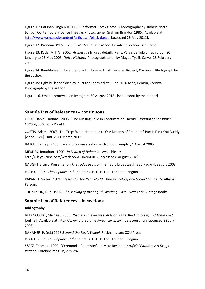Figure 11: Darshan Singh BHULLER (Performer). *Troy Game.* Choreography by Robert North. London Contemporary Dance Theatre. Photographer Graham Brandon 1986. Available at: [http://www.vam.ac.uk/content/articles/h/black-dance.](http://www.vam.ac.uk/content/articles/h/black-dance) [accessed 26 May 2011].

Figure 12: Brendan BYRNE. 2008. *Nutters on the Moor*. Private collection: Ben Carver.

Figure 13: Kader ATTIA. 2006. *Arabesque* [mural, detail]. Paris: Palais de Tokyo. Exhibition 20 January to 25 May 2006: *Notre Histoire*. Photograph taken by Magda Tyzlik-Carver 23 February 2006.

Figure 14: Bumblebee on lavender plants. June 2011 at The Eden Project, Cornwall. Photograph by the author.

Figure 15: Light bulb shelf display in large supermarket. June 2016 Asda, Penryn, Cornwall. Photograph by the author.

Figure. 16. #madeincornwall on Instagram 30 August 2018. [screenshot by the author]

#### <span id="page-33-0"></span>**Sample List of References – continuous**

COOK, Daniel Thomas. 2008. 'The Missing Child in Consumption Theory'. *Journal of Consumer Culture*, 8(2), pp. 219-243.

CURTIS, Adam. 2007. The Trap: What Happened to Our Dreams of Freedom? Part I: Fuck You Buddy [video: DVD]. BBC 2, 11 March 2007.

HATCH, Barney. 2005. Telephone conversation with Simon Templar, 1 August 2005.

MEADES, Jonathan. 1990. *In Search of Bohemia*. Available at: <http://uk.youtube.com/watch?v=yUH62mXuT6I> [accessed 8 August 2018].

NAUGHTIE, Jim. Presenter on *The Today Programme* [radio broadcast]. BBC Radio 4, 23 July 2008.

PLATO. 2003. The Republic. 2<sup>nd</sup> edn. trans. H. D. P. Lee. London: Penguin.

PAPANEK, Victor. 1974. *Design for the Real World: Human Ecology and Social Change*. St Albans: Paladin.

THOMPSON, E. P. 1966. *The Making of the English Working Class*. New York: Vintage Books.

#### <span id="page-33-1"></span>**Sample List of References - in sections**

#### **Bibliography**

BETANCOURT, Michael. 2006. 'Same as it ever was: Acts of Digital Re-Authoring'. *VJ Theory.net* [online]. Available at: [http://www.vjtheory.net/web\\_texts/text\\_betacourt.htm](http://www.vjtheory.net/web_texts/text_betacourt.htm) [accessed 22 July 2008].

DANAHER, P. (ed.) 1998 *Beyond the Ferris Wheel.* Rockhampton: CQU Press.

PLATO. 2003. The Republic. 2<sup>nd</sup> edn. trans. H. D. P. Lee. London: Penguin.

SZASZ, Thomas. 1999. 'Ceremonial Chemistry'. In Mike Jay (ed.) *Artificial Paradises: A Drugs Reader*. London: Penguin, 278-282.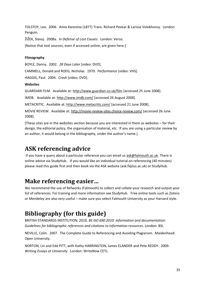TOLSTOY, Leo. 2006. *Anna Karenina* (1877) Trans. Richard Pevear & Larissa Volokhonsy. London: Penguin.

ŽIŽEK, Slavoj. 2008a. *In Defense of Lost Causes*. London: Verso.

[Notice that text sources, even if accessed online, are given here.]

#### **Filmography**

BOYLE, Danny. 2002. *28 Days Later* [video: DVD].

CAMMELL, Donald and ROEG, Nicholas. 1970. *Performance* [video: VHS].

HAGGIS, Paul. 2004. *Crash* [video: DVD].

#### **Websites**

GUARDIAN FILM. Available at:<http://www.guardian.co.uk/film> [accessed 25 June 2008].

IMDB. Available at[: http://www.imdb.com/](http://www.imdb.com/) [accessed 26 August 2008].

METACRITIC. Available at[: http://www.metacritic.com/](http://www.metacritic.com/) [accessed 21 June 2008].

MOVIE REVIEW. Available at:<http://movie-review-sites.choice-review.com/> [accessed 26 June 2008].

[These sites are in the websites section because you are interested in them as websites – for their design, the editorial policy, the organisation of material, etc. If you are using a particular review by an author, it would belong in the bibliography, under the author's name.]

# <span id="page-34-0"></span>**ASK referencing advice**

If you have a query about a particular reference you can email us [ask@falmouth.ac.uk.](mailto:ask@falmouth.ac.uk) There is online advice via StudyHub. If you would like an individual tutorial on referencing (40 minutes) please read this guide first and then book via the ASK website (ask.fxplus.ac.uk) or StudyHub.

# <span id="page-34-1"></span>**Make referencing easier…**

We recommend the use of Refworks (Falmouth) to collect and collate your research and output your list of references. For training and more information see StudyHub. Free online tools such as Zotero or Mendeley are also very useful – make sure you select Falmouth University as your Harvard style.

# <span id="page-34-2"></span>**Bibliography (for this guide)**

BRITISH STANDARDS INSTITUTION. 2010. *BS ISO 690:2010: Information and documentation: Guidelines for bibliographic references and citations to information resources*. London: BSI.

NEVILLE, Colin. 2007. The Complete Guide to Referencing and Avoiding Plagiarism. Maidenhead: Open University.

NORTON, Lin and Edd PITT, with Kathy HARRINGTON, James ELANDER and Pete REDDY. 2009. *Writing Essays at University.* London: WriteNow CETL.